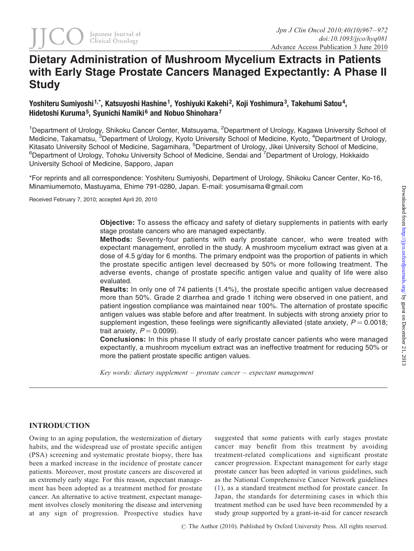# Dietary Administration of Mushroom Mycelium Extracts in Patients with Early Stage Prostate Cancers Managed Expectantly: A Phase II **Study**

# Yoshiteru Sumiyoshi <sup>1,\*</sup>, Katsuyoshi Hashine <sup>1</sup>, Yoshiyuki Kakehi <sup>2</sup>, Koji Yoshimura <sup>3</sup>, Takehumi Satou <sup>4</sup>, Hidetoshi Kuruma<sup>5</sup>, Syunichi Namiki<sup>6</sup> and Nobuo Shinohara<sup>7</sup>

<sup>1</sup>Department of Urology, Shikoku Cancer Center, Matsuyama, <sup>2</sup>Department of Urology, Kagawa University School of Medicine, Takamatsu, <sup>3</sup>Department of Urology, Kyoto University School of Medicine, Kyoto, <sup>4</sup>Department of Urology, Kitasato University School of Medicine, Sagamihara, <sup>5</sup>Department of Urology, Jikei University School of Medicine, <sup>6</sup>Department of Urology, Tohoku University School of Medicine, Sendai and <sup>7</sup>Department of Urology, Hokkaido University School of Medicine, Sapporo, Japan

\*For reprints and all correspondence: Yoshiteru Sumiyoshi, Department of Urology, Shikoku Cancer Center, Ko-16, Minamiumemoto, Mastuyama, Ehime 791-0280, Japan. E-mail: yosumisama@gmail.com

Received February 7, 2010; accepted April 20, 2010

Objective: To assess the efficacy and safety of dietary supplements in patients with early stage prostate cancers who are managed expectantly.

Methods: Seventy-four patients with early prostate cancer, who were treated with expectant management, enrolled in the study. A mushroom mycelium extract was given at a dose of 4.5 g/day for 6 months. The primary endpoint was the proportion of patients in which the prostate specific antigen level decreased by 50% or more following treatment. The adverse events, change of prostate specific antigen value and quality of life were also evaluated.

Results: In only one of 74 patients (1.4%), the prostate specific antigen value decreased more than 50%. Grade 2 diarrhea and grade 1 itching were observed in one patient, and patient ingestion compliance was maintained near 100%. The alternation of prostate specific antigen values was stable before and after treatment. In subjects with strong anxiety prior to supplement ingestion, these feelings were significantly alleviated (state anxiety,  $P = 0.0018$ ; trait anxiety,  $P = 0.0099$ ).

Conclusions: In this phase II study of early prostate cancer patients who were managed expectantly, a mushroom mycelium extract was an ineffective treatment for reducing 50% or more the patient prostate specific antigen values.

Key words: dietary supplement  $-$  prostate cancer  $-$  expectant management

# INTRODUCTION

Owing to an aging population, the westernization of dietary habits, and the widespread use of prostate specific antigen (PSA) screening and systematic prostate biopsy, there has been a marked increase in the incidence of prostate cancer patients. Moreover, most prostate cancers are discovered at an extremely early stage. For this reason, expectant management has been adopted as a treatment method for prostate cancer. An alternative to active treatment, expectant management involves closely monitoring the disease and intervening at any sign of progression. Prospective studies have

suggested that some patients with early stages prostate cancer may benefit from this treatment by avoiding treatment-related complications and significant prostate cancer progression. Expectant management for early stage prostate cancer has been adopted in various guidelines, such as the National Comprehensive Cancer Network guidelines ([1\)](#page-4-0), as a standard treatment method for prostate cancer. In Japan, the standards for determining cases in which this treatment method can be used have been recommended by a study group supported by a grant-in-aid for cancer research

 $\odot$  The Author (2010). Published by Oxford University Press. All rights reserved.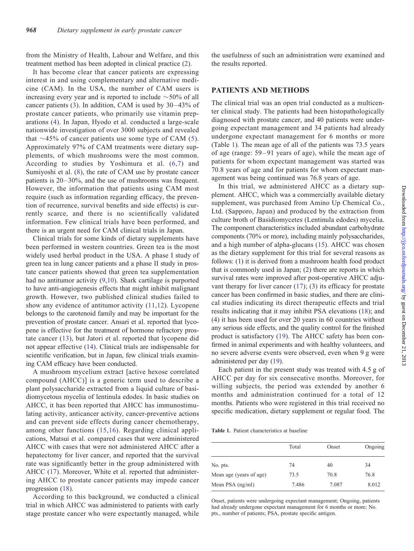from the Ministry of Health, Labour and Welfare, and this treatment method has been adopted in clinical practice ([2\)](#page-4-0).

It has become clear that cancer patients are expressing interest in and using complementary and alternative medicine (CAM). In the USA, the number of CAM users is increasing every year and is reported to include  $\sim$  50% of all cancer patients  $(3)$  $(3)$ . In addition, CAM is used by  $30-43\%$  of prostate cancer patients, who primarily use vitamin preparations ([4\)](#page-4-0). In Japan, Hyodo et al. conducted a large-scale nationwide investigation of over 3000 subjects and revealed that  $\sim$ 4[5](#page-4-0)% of cancer patients use some type of CAM (5). Approximately 97% of CAM treatments were dietary supplements, of which mushrooms were the most common. According to studies by Yoshimura et al. [\(6,7\)](#page-5-0) and Sumiyoshi et al. [\(8](#page-5-0)), the rate of CAM use by prostate cancer patients is  $20-30%$ , and the use of mushrooms was frequent. However, the information that patients using CAM most require (such as information regarding efficacy, the prevention of recurrence, survival benefits and side effects) is currently scarce, and there is no scientifically validated information. Few clinical trials have been performed, and there is an urgent need for CAM clinical trials in Japan.

Clinical trials for some kinds of dietary supplements have been performed in western countries. Green tea is the most widely used herbal product in the USA. A phase I study of green tea in lung cancer patients and a phase II study in prostate cancer patients showed that green tea supplementation had no antitumor activity ([9,10](#page-5-0)). Shark cartilage is purported to have anti-angiogenesis effects that might inhibit malignant growth. However, two published clinical studies failed to show any evidence of antitumor activity ([11](#page-5-0),[12](#page-5-0)). Lycopene belongs to the carotenoid family and may be important for the prevention of prostate cancer. Ansari et al. reported that lycopene is effective for the treatment of hormone refractory prostate cancer [\(13\)](#page-5-0), but Jatori et al. reported that lycopene did not appear effective [\(14](#page-5-0)). Clinical trials are indispensable for scientific verification, but in Japan, few clinical trials examining CAM efficacy have been conducted.

A mushroom mycelium extract [active hexose correlated compound (AHCC)] is a generic term used to describe a plant polysaccharide extracted from a liquid culture of basidiomycetous mycelia of lentinula edodes. In basic studies on AHCC, it has been reported that AHCC has immunostimulating activity, anticancer activity, cancer-preventive actions and can prevent side effects during cancer chemotherapy, among other functions ([15,16](#page-5-0)). Regarding clinical applications, Matsui et al. compared cases that were administered AHCC with cases that were not administered AHCC after a hepatectomy for liver cancer, and reported that the survival rate was significantly better in the group administered with AHCC [\(17\)](#page-5-0). Moreover, White et al. reported that administering AHCC to prostate cancer patients may impede cancer progression ([18\)](#page-5-0).

According to this background, we conducted a clinical trial in which AHCC was administered to patients with early stage prostate cancer who were expectantly managed, while the usefulness of such an administration were examined and the results reported.

### PATIENTS AND METHODS

The clinical trial was an open trial conducted as a multicenter clinical study. The patients had been histopathologically diagnosed with prostate cancer, and 40 patients were undergoing expectant management and 34 patients had already undergone expectant management for 6 months or more (Table 1). The mean age of all of the patients was 73.5 years of age (range: 59 – 91 years of age), while the mean age of patients for whom expectant management was started was 70.8 years of age and for patients for whom expectant management was being continued was 76.8 years of age.

In this trial, we administered AHCC as a dietary supplement. AHCC, which was a commercially available dietary supplement, was purchased from Amino Up Chemical Co., Ltd. (Sapporo, Japan) and produced by the extraction from culture broth of Basidiomycetes (Lentinula edodes) mycelia. The component characteristics included abundant carbohydrate components (70% or more), including mainly polysaccharides, and a high number of alpha-glucans [\(15](#page-5-0)). AHCC was chosen as the dietary supplement for this trial for several reasons as follows: (1) it is derived from a mushroom health food product that is commonly used in Japan; (2) there are reports in which survival rates were improved after post-operative AHCC adjuvant therapy for liver cancer  $(17)$  $(17)$ ;  $(3)$  its efficacy for prostate cancer has been confirmed in basic studies, and there are clinical studies indicating its direct therapeutic effects and trial results indicating that it may inhibit PSA elevations ([18\)](#page-5-0); and (4) it has been used for over 20 years in 60 countries without any serious side effects, and the quality control for the finished product is satisfactory ([19](#page-5-0)). The AHCC safety has been confirmed in animal experiments and with healthy volunteers, and no severe adverse events were observed, even when 9 g were administered per day [\(19](#page-5-0)).

Each patient in the present study was treated with 4.5 g of AHCC per day for six consecutive months. Moreover, for willing subjects, the period was extended by another 6 months and administration continued for a total of 12 months. Patients who were registered in this trial received no specific medication, dietary supplement or regular food. The

Table 1. Patient characteristics at baseline

|                         | Total | Onset | Ongoing |
|-------------------------|-------|-------|---------|
| No. pts.                | 74    | 40    | 34      |
| Mean age (years of age) | 73.5  | 70.8  | 76.8    |
| Mean PSA (ng/ml)        | 7.486 | 7.087 | 8.012   |

Onset, patients were undergoing expectant management; Ongoing, patients had already undergone expectant management for 6 months or more; No. pts., number of patients; PSA, prostate specific antigen.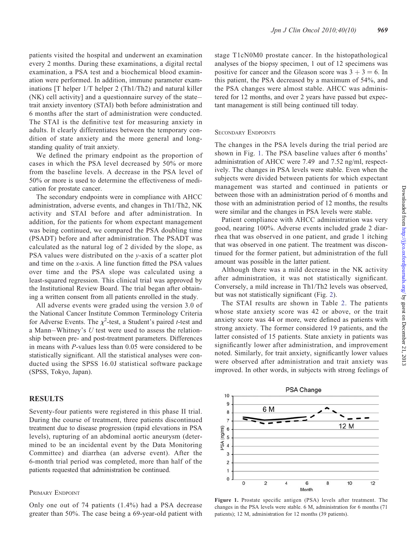patients visited the hospital and underwent an examination every 2 months. During these examinations, a digital rectal examination, a PSA test and a biochemical blood examination were performed. In addition, immune parameter examinations [T helper 1/T helper 2 (Th1/Th2) and natural killer (NK) cell activity] and a questionnaire survey of the state – trait anxiety inventory (STAI) both before administration and 6 months after the start of administration were conducted. The STAI is the definitive test for measuring anxiety in adults. It clearly differentiates between the temporary condition of state anxiety and the more general and longstanding quality of trait anxiety.

We defined the primary endpoint as the proportion of cases in which the PSA level decreased by 50% or more from the baseline levels. A decrease in the PSA level of 50% or more is used to determine the effectiveness of medication for prostate cancer.

The secondary endpoints were in compliance with AHCC administration, adverse events, and changes in Th1/Th2, NK activity and STAI before and after administration. In addition, for the patients for whom expectant management was being continued, we compared the PSA doubling time (PSADT) before and after administration. The PSADT was calculated as the natural log of 2 divided by the slope, as PSA values were distributed on the *v*-axis of a scatter plot and time on the x-axis. A line function fitted the PSA values over time and the PSA slope was calculated using a least-squared regression. This clinical trial was approved by the Institutional Review Board. The trial began after obtaining a written consent from all patients enrolled in the study.

All adverse events were graded using the version 3.0 of the National Cancer Institute Common Terminology Criteria for Adverse Events. The  $\chi^2$ -test, a Student's paired *t*-test and a Mann-Whitney's  $U$  test were used to assess the relationship between pre- and post-treatment parameters. Differences in means with P-values less than 0.05 were considered to be statistically significant. All the statistical analyses were conducted using the SPSS 16.0J statistical software package (SPSS, Tokyo, Japan).

## RESULTS

Seventy-four patients were registered in this phase II trial. During the course of treatment, three patients discontinued treatment due to disease progression (rapid elevations in PSA levels), rupturing of an abdominal aortic aneurysm (determined to be an incidental event by the Data Monitoring Committee) and diarrhea (an adverse event). After the 6-month trial period was completed, more than half of the patients requested that administration be continued.

#### PRIMARY ENDPOINT

Only one out of 74 patients (1.4%) had a PSA decrease greater than 50%. The case being a 69-year-old patient with stage T1cN0M0 prostate cancer. In the histopathological analyses of the biopsy specimen, 1 out of 12 specimens was positive for cancer and the Gleason score was  $3 + 3 = 6$ . In this patient, the PSA decreased by a maximum of 54%, and the PSA changes were almost stable. AHCC was administered for 12 months, and over 2 years have passed but expectant management is still being continued till today.

#### SECONDARY ENDPOINTS

The changes in the PSA levels during the trial period are shown in Fig. 1. The PSA baseline values after 6 months' administration of AHCC were 7.49 and 7.52 ng/ml, respectively. The changes in PSA levels were stable. Even when the subjects were divided between patients for which expectant management was started and continued in patients or between those with an administration period of 6 months and those with an administration period of 12 months, the results were similar and the changes in PSA levels were stable.

Patient compliance with AHCC administration was very good, nearing 100%. Adverse events included grade 2 diarrhea that was observed in one patient, and grade 1 itching that was observed in one patient. The treatment was discontinued for the former patient, but administration of the full amount was possible in the latter patient.

Although there was a mild decrease in the NK activity after administration, it was not statistically significant. Conversely, a mild increase in Th1/Th2 levels was observed, but was not statistically significant (Fig. [2](#page-3-0)).

The STAI results are shown in Table [2](#page-3-0). The patients whose state anxiety score was 42 or above, or the trait anxiety score was 44 or more, were defined as patients with strong anxiety. The former considered 19 patients, and the latter consisted of 15 patients. State anxiety in patients was significantly lower after administration, and improvement noted. Similarly, for trait anxiety, significantly lower values were observed after administration and trait anxiety was improved. In other words, in subjects with strong feelings of



Figure 1. Prostate specific antigen (PSA) levels after treatment. The changes in the PSA levels were stable. 6 M, administration for 6 months (71 patients); 12 M, administration for 12 months (39 patients).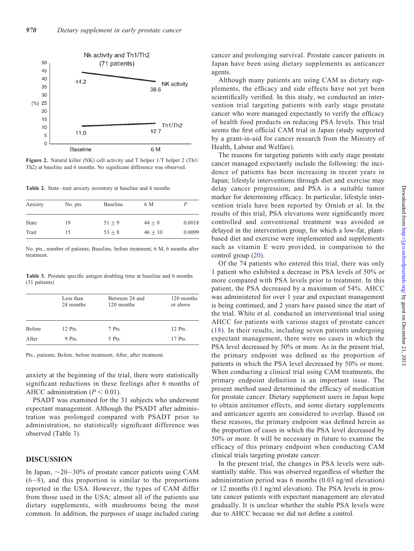<span id="page-3-0"></span>

Figure 2. Natural killer (NK) cell activity and T helper 1/T helper 2 (Th1/ Th2) at baseline and 6 months. No significant difference was observed.

Table 2. State-trait anxiety inventory at baseline and 6 months

| Anxiety      | No. pts. | <b>Baseline</b> | 6 M       |        |
|--------------|----------|-----------------|-----------|--------|
| <b>State</b> | 19       | $51 + 9$        | $44 + 8$  | 0.0018 |
| Trait        | 15       | $53 + 8$        | $46 + 10$ | 0.0099 |

No. pts., number of patients; Baseline, before treatment; 6 M, 6 months after treatment.

Table 3. Prostate specific antigen doubling time at baseline and 6 months (31 patients)

|               | Less than<br>24 months | Between 24 and<br>120 months | 120 months<br>or above |
|---------------|------------------------|------------------------------|------------------------|
| <b>Before</b> | 12 Pts.                | 7 Pts.                       | 12 Pts.                |
| After         | 9 Pts.                 | 5 Pts.                       | 17 Pts.                |

Pts., patients; Before, before treatment; After, after treatment.

anxiety at the beginning of the trial, there were statistically significant reductions in these feelings after 6 months of AHCC administration ( $P < 0.01$ ).

PSADT was examined for the 31 subjects who underwent expectant management. Although the PSADT after administration was prolonged compared with PSADT prior to administration, no statistically significant difference was observed (Table 3).

#### DISCUSSION

In Japan,  $\sim$  20–30% of prostate cancer patients using CAM  $(6-8)$  $(6-8)$  $(6-8)$  $(6-8)$ , and this proportion is similar to the proportions reported in the USA. However, the types of CAM differ from those used in the USA; almost all of the patients use dietary supplements, with mushrooms being the most common. In addition, the purposes of usage included curing

cancer and prolonging survival. Prostate cancer patients in Japan have been using dietary supplements as anticancer agents.

Although many patients are using CAM as dietary supplements, the efficacy and side effects have not yet been scientifically verified. In this study, we conducted an intervention trial targeting patients with early stage prostate cancer who were managed expectantly to verify the efficacy of health food products on reducing PSA levels. This trial seems the first official CAM trial in Japan (study supported by a grant-in-aid for cancer research from the Ministry of Health, Labour and Welfare).

The reasons for targeting patients with early stage prostate cancer managed expectantly include the following: the incidence of patients has been increasing in recent years in Japan; lifestyle interventions through diet and exercise may delay cancer progression; and PSA is a suitable tumor marker for determining efficacy. In particular, lifestyle intervention trials have been reported by Ornish et al. In the results of this trial, PSA elevations were significantly more controlled and conventional treatment was avoided or delayed in the intervention group, for which a low-fat, plantbased diet and exercise were implemented and supplements such as vitamin E were provided, in comparison to the control group [\(20](#page-5-0)).

Of the 74 patients who entered this trial, there was only 1 patient who exhibited a decrease in PSA levels of 50% or more compared with PSA levels prior to treatment. In this patient, the PSA decreased by a maximum of 54%. AHCC was administered for over 1 year and expectant management is being continued, and 2 years have passed since the start of the trial. White et al. conducted an interventional trial using AHCC for patients with various stages of prostate cancer ([18](#page-5-0)). In their results, including seven patients undergoing expectant management, there were no cases in which the PSA level decreased by 50% or more. As in the present trial, the primary endpoint was defined as the proportion of patients in which the PSA level decreased by 50% or more. When conducting a clinical trial using CAM treatments, the primary endpoint definition is an important issue. The present method used determined the efficacy of medication for prostate cancer. Dietary supplement users in Japan hope to obtain antitumor effects, and some dietary supplements and anticancer agents are considered to overlap. Based on these reasons, the primary endpoint was defined herein as the proportion of cases in which the PSA level decreased by 50% or more. It will be necessary in future to examine the efficacy of this primary endpoint when conducting CAM clinical trials targeting prostate cancer.

In the present trial, the changes in PSA levels were substantially stable. This was observed regardless of whether the administration period was 6 months (0.03 ng/ml elevation) or 12 months (0.1 ng/ml elevation). The PSA levels in prostate cancer patients with expectant management are elevated gradually. It is unclear whether the stable PSA levels were due to AHCC because we did not define a control.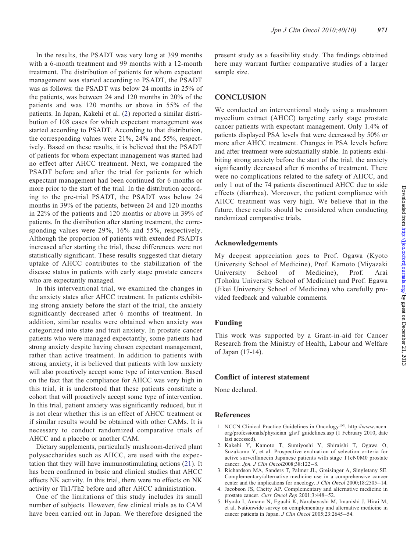<span id="page-4-0"></span>In the results, the PSADT was very long at 399 months with a 6-month treatment and 99 months with a 12-month treatment. The distribution of patients for whom expectant management was started according to PSADT, the PSADT was as follows: the PSADT was below 24 months in 25% of the patients, was between 24 and 120 months in 20% of the patients and was 120 months or above in 55% of the patients. In Japan, Kakehi et al. (2) reported a similar distribution of 108 cases for which expectant management was started according to PSADT. According to that distribution, the corresponding values were 21%, 24% and 55%, respectively. Based on these results, it is believed that the PSADT of patients for whom expectant management was started had no effect after AHCC treatment. Next, we compared the PSADT before and after the trial for patients for which expectant management had been continued for 6 months or more prior to the start of the trial. In the distribution according to the pre-trial PSADT, the PSADT was below 24 months in 39% of the patients, between 24 and 120 months in 22% of the patients and 120 months or above in 39% of patients. In the distribution after starting treatment, the corresponding values were 29%, 16% and 55%, respectively. Although the proportion of patients with extended PSADTs increased after starting the trial, these differences were not statistically significant. These results suggested that dietary uptake of AHCC contributes to the stabilization of the disease status in patients with early stage prostate cancers who are expectantly managed.

In this interventional trial, we examined the changes in the anxiety states after AHCC treatment. In patients exhibiting strong anxiety before the start of the trial, the anxiety significantly decreased after 6 months of treatment. In addition, similar results were obtained when anxiety was categorized into state and trait anxiety. In prostate cancer patients who were managed expectantly, some patients had strong anxiety despite having chosen expectant management, rather than active treatment. In addition to patients with strong anxiety, it is believed that patients with low anxiety will also proactively accept some type of intervention. Based on the fact that the compliance for AHCC was very high in this trial, it is understood that these patients constitute a cohort that will proactively accept some type of intervention. In this trial, patient anxiety was significantly reduced, but it is not clear whether this is an effect of AHCC treatment or if similar results would be obtained with other CAMs. It is necessary to conduct randomized comparative trials of AHCC and a placebo or another CAM.

Dietary supplements, particularly mushroom-derived plant polysaccharides such as AHCC, are used with the expectation that they will have immunostimulating actions ([21\)](#page-5-0). It has been confirmed in basic and clinical studies that AHCC affects NK activity. In this trial, there were no effects on NK activity or Th1/Th2 before and after AHCC administration.

One of the limitations of this study includes its small number of subjects. However, few clinical trials as to CAM have been carried out in Japan. We therefore designed the present study as a feasibility study. The findings obtained here may warrant further comparative studies of a larger sample size.

### **CONCLUSION**

We conducted an interventional study using a mushroom mycelium extract (AHCC) targeting early stage prostate cancer patients with expectant management. Only 1.4% of patients displayed PSA levels that were decreased by 50% or more after AHCC treatment. Changes in PSA levels before and after treatment were substantially stable. In patients exhibiting strong anxiety before the start of the trial, the anxiety significantly decreased after 6 months of treatment. There were no complications related to the safety of AHCC, and only 1 out of the 74 patients discontinued AHCC due to side effects (diarrhea). Moreover, the patient compliance with AHCC treatment was very high. We believe that in the future, these results should be considered when conducting randomized comparative trials.

#### Acknowledgements

My deepest appreciation goes to Prof. Ogawa (Kyoto University School of Medicine), Prof. Kamoto (Miyazaki University School of Medicine), Prof. Arai (Tohoku University School of Medicine) and Prof. Egawa (Jikei University School of Medicine) who carefully provided feedback and valuable comments.

#### Funding

This work was supported by a Grant-in-aid for Cancer Research from the Ministry of Health, Labour and Welfare of Japan (17-14).

#### Conflict of interest statement

None declared.

#### References

- 1. NCCN Clinical Practice Guidelines in Oncology<sup>TM</sup>. http://www.nccn. org/professionals/physician\_gls/f\_guidelines.asp (1 February 2010, date last accessed).
- 2. Kakehi Y, Kamoto T, Sumiyoshi Y, Shiraishi T, Ogawa O, Suzukamo Y, et al. Prospective evaluation of selection criteria for active surveillancein Japanese patients with stage T1cN0M0 prostate cancer. Jpn. J Clin Oncol2008;38:122-8.
- 3. Richardson MA, Sanders T, Palmer JL, Greisinger A, Singletany SE. Complementary/alternative medicine use in a comprehensive cancer center and the implications for oncology. J Clin Oncol 2000;18:2505–14.
- 4. Jacobson JS, Chetty AP. Complementary and alternative medicine in prostate cancer. Curr Oncol Rep 2001;3:448-52.
- 5. Hyodo I, Amano N, Eguchi K, Narabayashi M, Imanishi J, Hirai M, et al. Nationwide survey on complementary and alternative medicine in cancer patients in Japan. J Clin Oncol 2005;23:2645-54.